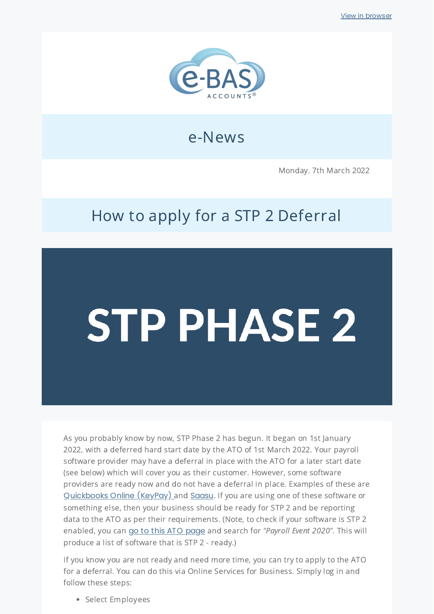

## e-News

Monday. 7th March 2022

# How to apply for a STP 2 Deferral

# **STP PHASE 2**

As you probably know by now, STP Phase 2 has begun. It began on 1st January 2022, with a deferred hard start date by the ATO of 1st March 2022. Your payroll software provider may have a deferral in place with the ATO for a later start date (see below) which will cover you as their customer. However, some software providers are ready now and do not have a deferral in place. Examples of these are [Quickbooks](https://quickbooks.intuit.com/learn-support/en-au/2021/single-touch-payroll-stp-phase-2-faq/00/748360) Online (KeyPay) and [Saasu](https://www.saasu.com/help/stp-phase-2/). If you are using one of these software or something else, then your business should be ready for STP 2 and be reporting data to the ATO as per their requirements. (Note, to check if your software is STP 2 enabled, you can go to this ATO [page](https://softwaredevelopers.ato.gov.au/product-register?inf_contact_key=f97829e1fe4d0db6ac84529d6ac4c354d18a532c4142cb79caf2b269de1401fa) and search for "Payroll Event 2020". This will produce a list of software that is STP 2 - ready.)

If you know you are not ready and need more time, you can try to apply to the ATO for a deferral. You can do this via Online Services for Business. Simply log in and follow these steps:

• Select Employees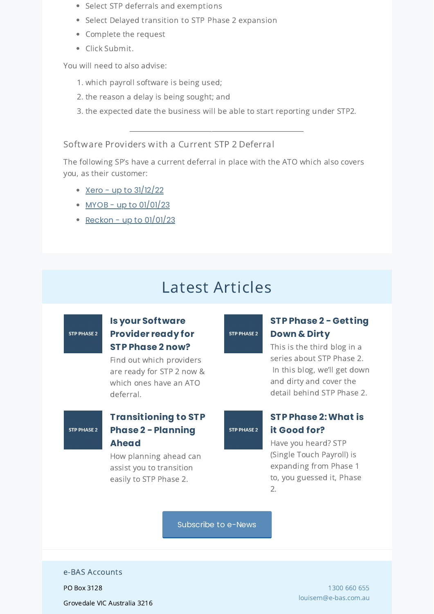- Select STP deferrals and exemptions
- Select Delayed transition to STP Phase 2 expansion
- Complete the request
- Click Submit.

You will need to also advise:

- 1. which payroll software is being used;
- 2. the reason a delay is being sought; and
- 3. the expected date the business will be able to start reporting under STP2.

\_\_\_\_\_\_\_\_\_\_\_\_\_\_\_\_\_\_\_\_\_\_\_\_\_\_\_\_\_\_\_\_\_\_\_\_\_\_\_\_\_\_\_\_\_\_\_\_\_\_\_\_\_

#### Software Providers with a Current STP 2 Deferral

The following SP's have a current deferral in place with the ATO which also covers you, as their customer:

- Xero up to  $31/12/22$
- $\cdot$  MYOB up to [01/01/23](https://help.myob.com/wiki/display/myob/Getting+ready+for+STP+Phase+2#:~:text=of%20year%20finalisation.-,What%27s%20MYOB%20doing%3F,-We%27ve%20updated%20MYOB)
- Reckon up to  $01/01/23$

## Latest Articles

## **STP PHASE 2**

#### **Is your [Software](https://www.e-bas.com.au/is-your-software-provider-ready-for-stp-phase-2-now/) Provider ready for STP Phase 2 now?**

Find out which providers are ready for STP 2 now & which ones have an ATO deferral.

### STP PHASE 2

#### **[Transitioning](https://www.e-bas.com.au/transitioning-to-stp-phase-2-planning-ahead/) to STP Phase 2 - Planning Ahead**

How planning ahead can assist you to transition easily to STP Phase 2.

## **STP PHASE 2**

#### **STP Phase 2 - [Getting](https://www.e-bas.com.au/stp-phase-2-getting-down-and-dirty/) Down & Dirty**

This is the third blog in a series about STP Phase 2. In this blog, we'll get down and dirty and cover the detail behind STP Phase 2.

STP PHASE 2

#### **STP Phase [2:What](https://www.e-bas.com.au/stp-phase-2-what-is-it-good-for/) is it Good for?**

Have you heard? STP (Single Touch Payroll) is expanding from Phase 1 to, you guessed it, Phase 2.

[Subscribe](https://landing.mailerlite.com/webforms/landing/v8m1z3) to e-News

#### e-BAS Accounts

PO Box 3128

Grovedale VIC Australia 3216

[1300](tel:1300 660 655) 660 655 [louisem@e-bas.com.au](mailto:louisem@e-bas.com.au)